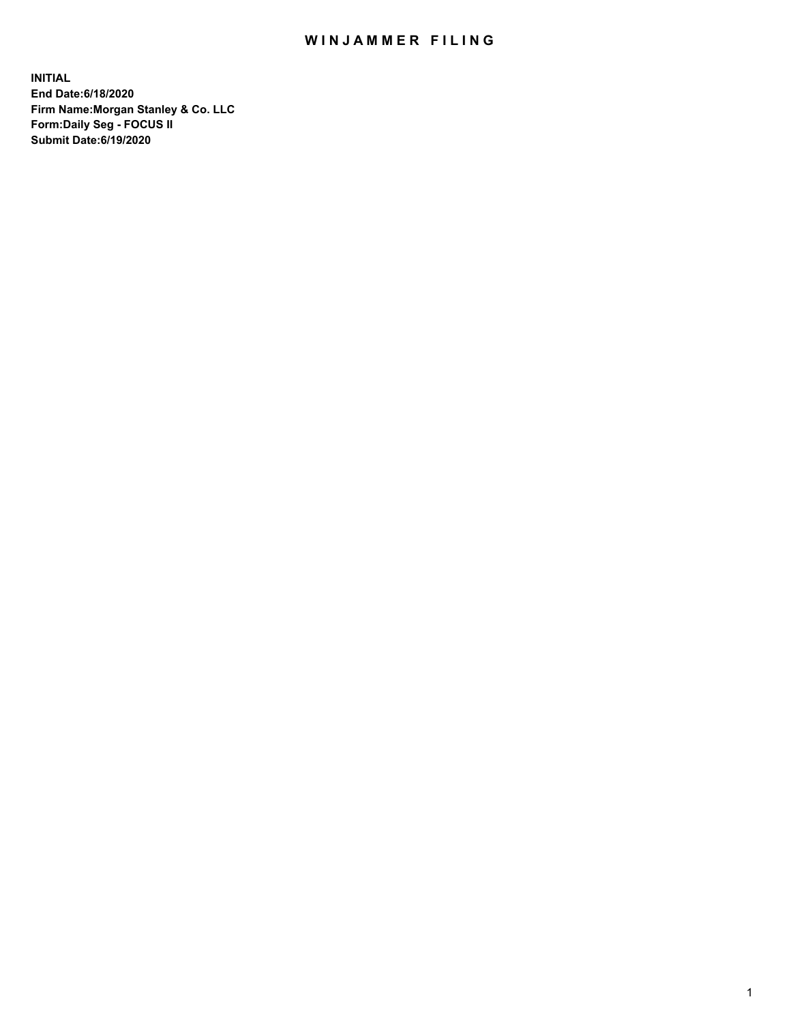## WIN JAMMER FILING

**INITIAL End Date:6/18/2020 Firm Name:Morgan Stanley & Co. LLC Form:Daily Seg - FOCUS II Submit Date:6/19/2020**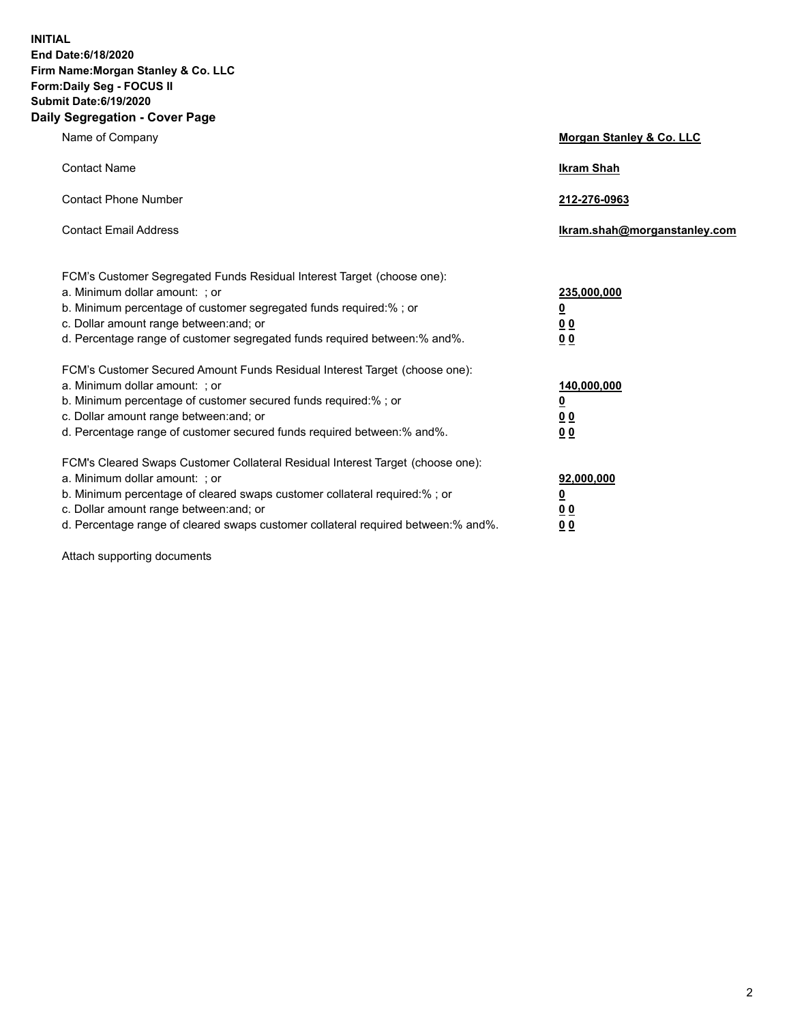**INITIAL End Date:6/18/2020 Firm Name:Morgan Stanley & Co. LLC Form:Daily Seg - FOCUS II Submit Date:6/19/2020 Daily Segregation - Cover Page**

| Name of Company                                                                                                                                                                                                                                                                                                               | Morgan Stanley & Co. LLC                               |
|-------------------------------------------------------------------------------------------------------------------------------------------------------------------------------------------------------------------------------------------------------------------------------------------------------------------------------|--------------------------------------------------------|
| <b>Contact Name</b>                                                                                                                                                                                                                                                                                                           | <b>Ikram Shah</b>                                      |
| <b>Contact Phone Number</b>                                                                                                                                                                                                                                                                                                   | 212-276-0963                                           |
| <b>Contact Email Address</b>                                                                                                                                                                                                                                                                                                  | Ikram.shah@morganstanley.com                           |
| FCM's Customer Segregated Funds Residual Interest Target (choose one):<br>a. Minimum dollar amount: ; or<br>b. Minimum percentage of customer segregated funds required:% ; or<br>c. Dollar amount range between: and; or<br>d. Percentage range of customer segregated funds required between:% and%.                        | 235,000,000<br><u>0</u><br><u>00</u><br>0 <sup>0</sup> |
| FCM's Customer Secured Amount Funds Residual Interest Target (choose one):<br>a. Minimum dollar amount: ; or<br>b. Minimum percentage of customer secured funds required:%; or<br>c. Dollar amount range between: and; or<br>d. Percentage range of customer secured funds required between:% and%.                           | 140,000,000<br><u>0</u><br><u>00</u><br>0 <sub>0</sub> |
| FCM's Cleared Swaps Customer Collateral Residual Interest Target (choose one):<br>a. Minimum dollar amount: ; or<br>b. Minimum percentage of cleared swaps customer collateral required:%; or<br>c. Dollar amount range between: and; or<br>d. Percentage range of cleared swaps customer collateral required between:% and%. | 92,000,000<br><u>0</u><br>0 Q<br>00                    |

Attach supporting documents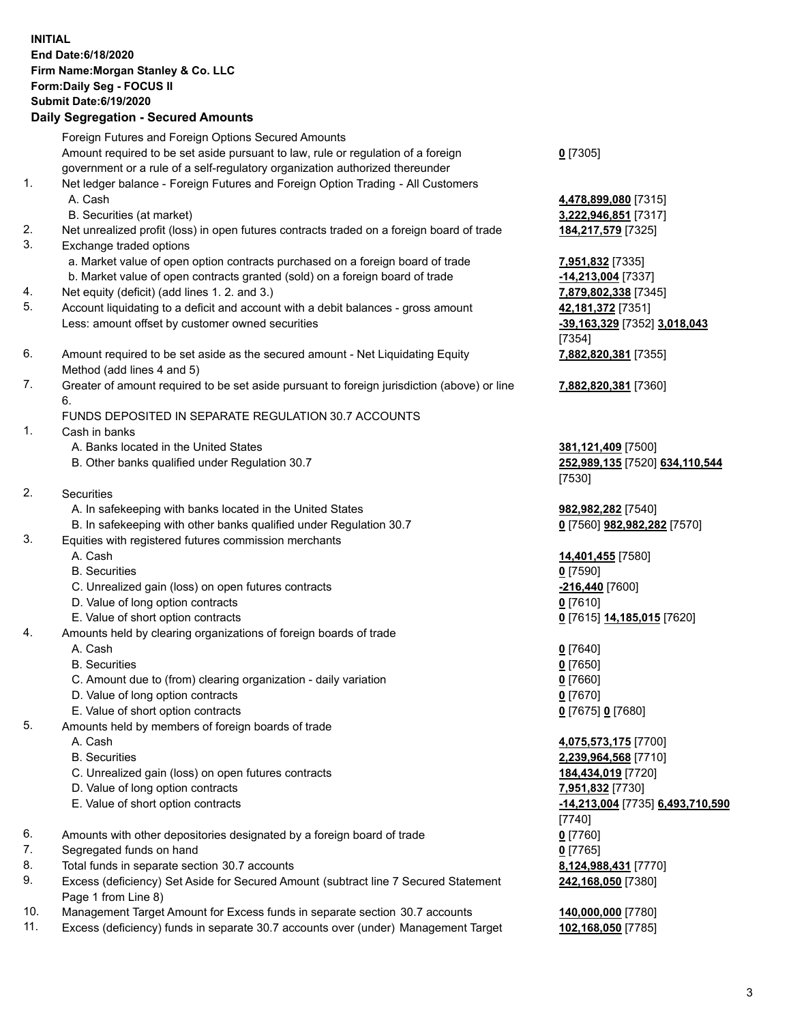## **INITIAL End Date:6/18/2020 Firm Name:Morgan Stanley & Co. LLC Form:Daily Seg - FOCUS II Submit Date:6/19/2020 Daily Segregation - Secured Amounts** Foreign Futures and Foreign Options Secured Amounts Amount required to be set aside pursuant to law, rule or regulation of a foreign government or a rule of a self-regulatory organization authorized thereunder **0** [7305] 1. Net ledger balance - Foreign Futures and Foreign Option Trading - All Customers A. Cash **4,478,899,080** [7315] B. Securities (at market) **3,222,946,851** [7317] 2. Net unrealized profit (loss) in open futures contracts traded on a foreign board of trade **184,217,579** [7325] 3. Exchange traded options a. Market value of open option contracts purchased on a foreign board of trade **7,951,832** [7335] b. Market value of open contracts granted (sold) on a foreign board of trade **-14,213,004** [7337] 4. Net equity (deficit) (add lines 1. 2. and 3.) **7,879,802,338** [7345] 5. Account liquidating to a deficit and account with a debit balances - gross amount **42,181,372** [7351] Less: amount offset by customer owned securities **-39,163,329** [7352] **3,018,043** [7354] 6. Amount required to be set aside as the secured amount - Net Liquidating Equity Method (add lines 4 and 5) **7,882,820,381** [7355] 7. Greater of amount required to be set aside pursuant to foreign jurisdiction (above) or line 6. **7,882,820,381** [7360] FUNDS DEPOSITED IN SEPARATE REGULATION 30.7 ACCOUNTS 1. Cash in banks A. Banks located in the United States **381,121,409** [7500] B. Other banks qualified under Regulation 30.7 **252,989,135** [7520] **634,110,544** [7530] 2. Securities A. In safekeeping with banks located in the United States **982,982,282** [7540] B. In safekeeping with other banks qualified under Regulation 30.7 **0** [7560] **982,982,282** [7570] 3. Equities with registered futures commission merchants A. Cash **14,401,455** [7580] B. Securities **0** [7590] C. Unrealized gain (loss) on open futures contracts **-216,440** [7600] D. Value of long option contracts **0** [7610] E. Value of short option contracts **0** [7615] **14,185,015** [7620] 4. Amounts held by clearing organizations of foreign boards of trade A. Cash **0** [7640] B. Securities **0** [7650] C. Amount due to (from) clearing organization - daily variation **0** [7660] D. Value of long option contracts **0** [7670] E. Value of short option contracts **0** [7675] **0** [7680] 5. Amounts held by members of foreign boards of trade A. Cash **4,075,573,175** [7700] B. Securities **2,239,964,568** [7710] C. Unrealized gain (loss) on open futures contracts **184,434,019** [7720] D. Value of long option contracts **7,951,832** [7730] E. Value of short option contracts **-14,213,004** [7735] **6,493,710,590** [7740] 6. Amounts with other depositories designated by a foreign board of trade **0** [7760] 7. Segregated funds on hand **0** [7765] 8. Total funds in separate section 30.7 accounts **8,124,988,431** [7770] 9. Excess (deficiency) Set Aside for Secured Amount (subtract line 7 Secured Statement **242,168,050** [7380]

10. Management Target Amount for Excess funds in separate section 30.7 accounts **140,000,000** [7780]

Page 1 from Line 8)

11. Excess (deficiency) funds in separate 30.7 accounts over (under) Management Target **102,168,050** [7785]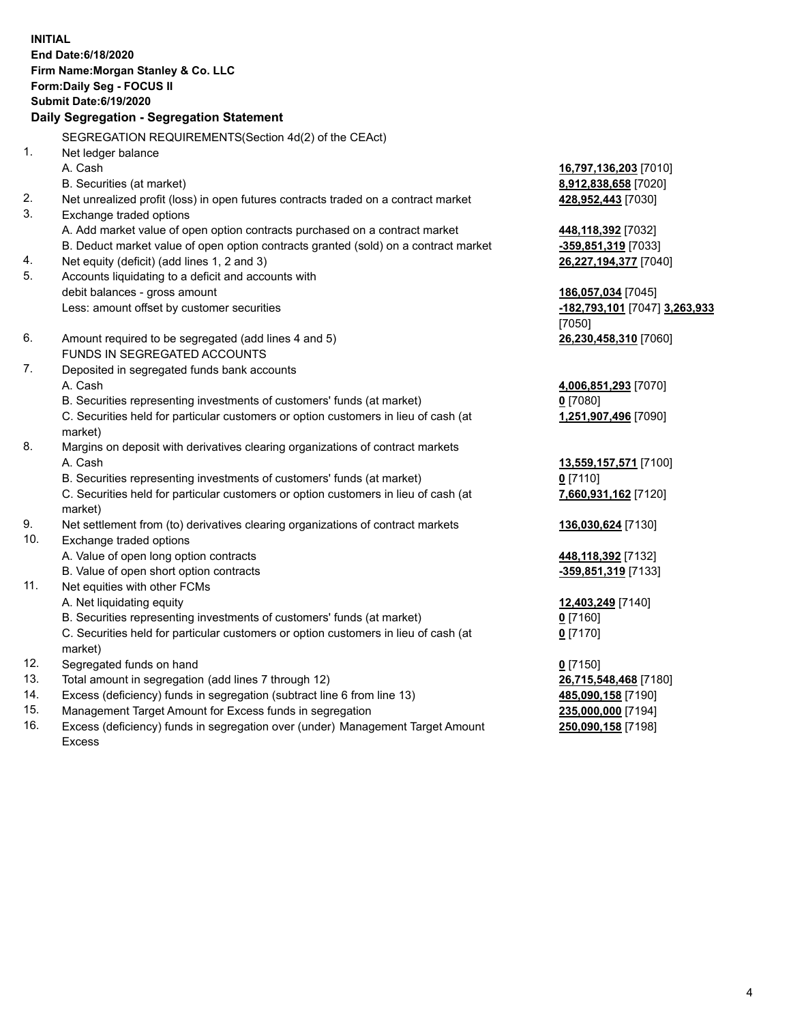**INITIAL End Date:6/18/2020 Firm Name:Morgan Stanley & Co. LLC Form:Daily Seg - FOCUS II Submit Date:6/19/2020 Daily Segregation - Segregation Statement** SEGREGATION REQUIREMENTS(Section 4d(2) of the CEAct) 1. Net ledger balance A. Cash **16,797,136,203** [7010] B. Securities (at market) **8,912,838,658** [7020] 2. Net unrealized profit (loss) in open futures contracts traded on a contract market **428,952,443** [7030] 3. Exchange traded options A. Add market value of open option contracts purchased on a contract market **448,118,392** [7032] B. Deduct market value of open option contracts granted (sold) on a contract market **-359,851,319** [7033] 4. Net equity (deficit) (add lines 1, 2 and 3) **26,227,194,377** [7040] 5. Accounts liquidating to a deficit and accounts with debit balances - gross amount **186,057,034** [7045] Less: amount offset by customer securities **-182,793,101** [7047] **3,263,933** [7050] 6. Amount required to be segregated (add lines 4 and 5) **26,230,458,310** [7060] FUNDS IN SEGREGATED ACCOUNTS 7. Deposited in segregated funds bank accounts A. Cash **4,006,851,293** [7070] B. Securities representing investments of customers' funds (at market) **0** [7080] C. Securities held for particular customers or option customers in lieu of cash (at market) **1,251,907,496** [7090] 8. Margins on deposit with derivatives clearing organizations of contract markets A. Cash **13,559,157,571** [7100] B. Securities representing investments of customers' funds (at market) **0** [7110] C. Securities held for particular customers or option customers in lieu of cash (at market) **7,660,931,162** [7120] 9. Net settlement from (to) derivatives clearing organizations of contract markets **136,030,624** [7130] 10. Exchange traded options A. Value of open long option contracts **448,118,392** [7132] B. Value of open short option contracts **-359,851,319** [7133] 11. Net equities with other FCMs A. Net liquidating equity **12,403,249** [7140] B. Securities representing investments of customers' funds (at market) **0** [7160] C. Securities held for particular customers or option customers in lieu of cash (at market) **0** [7170] 12. Segregated funds on hand **0** [7150] 13. Total amount in segregation (add lines 7 through 12) **26,715,548,468** [7180] 14. Excess (deficiency) funds in segregation (subtract line 6 from line 13) **485,090,158** [7190] 15. Management Target Amount for Excess funds in segregation **235,000,000** [7194]

16. Excess (deficiency) funds in segregation over (under) Management Target Amount Excess

**250,090,158** [7198]